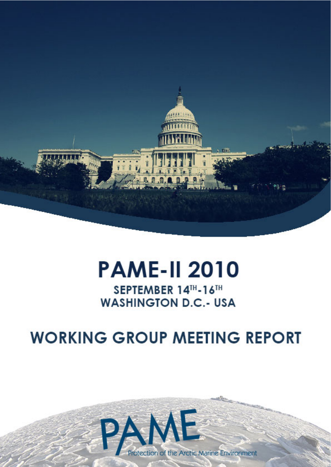

# **PAME-II 2010**

## SEPTEMBER 14TH-16TH **WASHINGTON D.C.- USA**

## **WORKING GROUP MEETING REPORT**

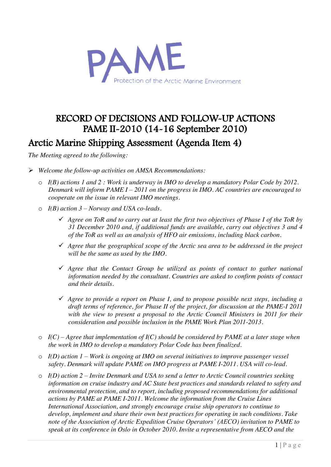

## RECORD OF DECISIONS AND FOLLOW-UP ACTIONS PAME II-2010 (14-16 September 2010) Arctic Marine Shipping Assessment (Agenda Item 4)

- ¾ *Welcome the follow-up activities on AMSA Recommendations:* 
	- o *I(B) actions 1 and 2 : Work is underway in IMO to develop a mandatory Polar Code by 2012. Denmark will inform PAME I – 2011 on the progress in IMO. AC countries are encouraged to cooperate on the issue in relevant IMO meetings.*
	- o *I(B) action 3 – Norway and USA co-leads.*
		- 9 *Agree on ToR and to carry out at least the first two objectives of Phase I of the ToR by 31 December 2010 and, if additional funds are available, carry out objectives 3 and 4 of the ToR as well as an analysis of HFO air emissions, including black carbon.*
		- 9 *Agree that the geographical scope of the Arctic sea area to be addressed in the project will be the same as used by the IMO.*
		- 9 *Agree that the Contact Group be utilized as points of contact to gather national information needed by the consultant. Countries are asked to confirm points of contact and their details.*
		- 9 *Agree to provide a report on Phase I, and to propose possible next steps, including a draft terms of reference, for Phase II of the project, for discussion at the PAME-I 2011 with the view to present a proposal to the Arctic Council Ministers in 2011 for their consideration and possible inclusion in the PAME Work Plan 2011-2013.*
	- $\circ$  *I(C) Agree that implementation of I(C) should be considered by PAME at a later stage when the work in IMO to develop a mandatory Polar Code has been finalized.*
	- o *I(D) action 1 – Work is ongoing at IMO on several initiatives to improve passenger vessel safety. Denmark will update PAME on IMO progress at PAME I-2011. USA will co-lead.*
	- o *I(D) action 2 – Invite Denmark and USA to send a letter to Arctic Council countries seeking information on cruise industry and AC State best practices and standards related to safety and environmental protection, and to report, including proposed recommendations for additional actions by PAME at PAME I-2011. Welcome the information from the Cruise Lines International Association, and strongly encourage cruise ship operators to continue to develop, implement and share their own best practices for operating in such conditions. Take note of the Association of Arctic Expedition Cruise Operators' (AECO) invitation to PAME to speak at its conference in Oslo in October 2010. Invite a representative from AECO and the*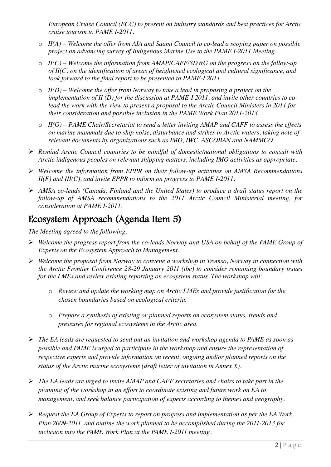*European Cruise Council (ECC) to present on industry standards and best practices for Arctic cruise tourism to PAME I-2011.*

- o *II(A) – Welcome the offer from AIA and Saami Council to co-lead a scoping paper on possible project on advancing survey of Indigenous Marine Use to the PAME I-2011 Meeting.*
- o *II(C) – Welcome the information from AMAP/CAFF/SDWG on the progress on the follow-up of II(C) on the identification of areas of heightened ecological and cultural significance, and look forward to the final report to be presented to PAME-I 2011.*
- o *II(D) – Welcome the offer from Norway to take a lead in proposing a project on the implementation of II (D) for the discussion at PAME-I 2011, and invite other countries to colead the work with the view to present a proposal to the Arctic Council Ministers in 2011 for their consideration and possible inclusion in the PAME Work Plan 2011-2013.*
- o *II(G) – PAME Chair/Secretariat to send a letter inviting AMAP and CAFF to assess the effects on marine mammals due to ship noise, disturbance and strikes in Arctic waters, taking note of relevant documents by organizations such as IMO, IWC, ASCOBAN and NAMMCO.*
- ¾ *Remind Arctic Council countries to be mindful of domestic/national obligations to consult with Arctic indigenous peoples on relevant shipping matters, including IMO activities as appropriate.*
- ¾ *Welcome the information from EPPR on their follow-up activities on AMSA Recommendations II(F) and III(C), and invite EPPR to inform on progress to PAME I-2011.*
- ¾ *AMSA co-leads (Canada, Finland and the United States) to produce a draft status report on the follow-up of AMSA recommendations to the 2011 Arctic Council Ministerial meeting, for consideration at PAME I-2011.*

## Ecosystem Approach (Agenda Item 5)

- ¾ *Welcome the progress report from the co-leads Norway and USA on behalf of the PAME Group of Experts on the Ecosystem Approach to Management.*
- ¾ *Welcome the proposal from Norway to convene a workshop in Tromso, Norway in connection with the Arctic Frontier Conference 28-29 January 2011 (tbc) to consider remaining boundary issues for the LMEs and review existing reporting on ecosystem status. The workshop will:*
	- o *Review and update the working map on Arctic LMEs and provide justification for the chosen boundaries based on ecological criteria.*
	- o *Prepare a synthesis of existing or planned reports on ecosystem status, trends and pressures for regional ecosystems in the Arctic area.*
- ¾ *The EA leads are requested to send out an invitation and workshop agenda to PAME as soon as possible and PAME is urged to participate in the workshop and ensure the representation of respective experts and provide information on recent, ongoing and/or planned reports on the status of the Arctic marine ecosystems (draft letter of invitation in Annex X).*
- ¾ *The EA leads are urged to invite AMAP and CAFF secretaries and chairs to take part in the planning of the workshop in an effort to coordinate existing and future work on EA to management, and seek balance participation of experts according to themes and geography.*
- ¾ *Request the EA Group of Experts to report on progress and implementation as per the EA Work Plan 2009-2011, and outline the work planned to be accomplished during the 2011-2013 for inclusion into the PAME Work Plan at the PAME I-2011 meeting.*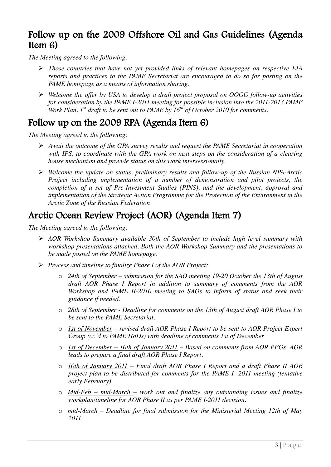## Follow up on the 2009 Offshore Oil and Gas Guidelines (Agenda Item 6)

*The Meeting agreed to the following:*

- ¾ *Those countries that have not yet provided links of relevant homepages on respective EIA reports and practices to the PAME Secretariat are encouraged to do so for posting on the PAME homepage as a means of information sharing.*
- ¾ *Welcome the offer by USA to develop a draft project proposal on OOGG follow-up activities for consideration by the PAME I-2011 meeting for possible inclusion into the 2011-2013 PAME Work Plan. 1st draft to be sent out to PAME by 16th of October 2010 for comments.*

## Follow up on the 2009 RPA (Agenda Item 6)

*The Meeting agreed to the following:*

- ¾ *Await the outcome of the GPA survey results and request the PAME Secretariat in cooperation with IPS, to coordinate with the GPA work on next steps on the consideration of a clearing house mechanism and provide status on this work intersessionally.*
- ¾ *Welcome the update on status, preliminary results and follow-up of the Russian NPA-Arctic Project including implementation of a number of demonstration and pilot projects, the completion of a set of Pre-Investment Studies (PINS), and the development, approval and implementation of the Strategic Action Programme for the Protection of the Environment in the Arctic Zone of the Russian Federation.*

## Arctic Ocean Review Project (AOR) (Agenda Item 7)

- ¾ *AOR Workshop Summary available 30th of September to include high level summary with workshop presentations attached. Both the AOR Workshop Summary and the presentations to be made posted on the PAME homepage.*
- ¾ *Process and timeline to finalize Phase I of the AOR Project:*
	- o *24th of September – submission for the SAO meeting 19-20 October the 13th of August draft AOR Phase I Report in addition to summary of comments from the AOR Workshop and PAME II-2010 meeting to SAOs to inform of status and seek their guidance if needed.*
	- o *28th of September - Deadline for comments on the 13th of August draft AOR Phase I to be sent to the PAME Secretariat.*
	- o *1st of November – revised draft AOR Phase I Report to be sent to AOR Project Expert Group (cc'd to PAME HoDs) with deadline of comments 1st of December*
	- o *1st of December – 10th of January 2011 – Based on comments from AOR PEGs, AOR leads to prepare a final draft AOR Phase I Report.*
	- o *10th of January 2011 – Final draft AOR Phase I Report and a draft Phase II AOR project plan to be distributed for comments for the PAME I -2011 meeting (tentative early February)*
	- o *Mid-Feb – mid-March – work out and finalize any outstanding issues and finalize workplan/timeline for AOR Phase II as per PAME I-2011 decision.*
	- o *mid-March – Deadline for final submission for the Ministerial Meeting 12th of May 2011.*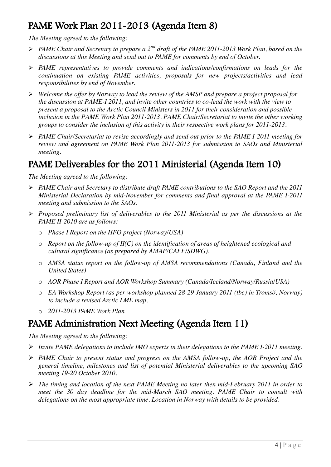## PAME Work Plan 2011-2013 (Agenda Item 8)

*The Meeting agreed to the following:*

- ¾ *PAME Chair and Secretary to prepare a 2nd draft of the PAME 2011-2013 Work Plan, based on the discussions at this Meeting and send out to PAME for comments by end of October.*
- ¾ *PAME representatives to provide comments and indications/confirmations on leads for the continuation on existing PAME activities, proposals for new projects/activities and lead responsibilities by end of November.*
- ¾ *Welcome the offer by Norway to lead the review of the AMSP and prepare a project proposal for the discussion at PAME-I 2011, and invite other countries to co-lead the work with the view to present a proposal to the Arctic Council Ministers in 2011 for their consideration and possible inclusion in the PAME Work Plan 2011-2013. PAME Chair/Secretariat to invite the other working groups to consider the inclusion of this activity in their respective work plans for 2011-2013.*
- ¾ *PAME Chair/Secretariat to revise accordingly and send out prior to the PAME I-2011 meeting for review and agreement on PAME Work Plan 2011-2013 for submission to SAOs and Ministerial meeting.*

## PAME Deliverables for the 2011 Ministerial (Agenda Item 10)

*The Meeting agreed to the following:*

- ¾ *PAME Chair and Secretary to distribute draft PAME contributions to the SAO Report and the 2011 Ministerial Declaration by mid-November for comments and final approval at the PAME I-2011 meeting and submission to the SAOs.*
- ¾ *Proposed preliminary list of deliverables to the 2011 Ministerial as per the discussions at the PAME II-2010 are as follows:*
	- o *Phase I Report on the HFO project (Norway/USA)*
	- o *Report on the follow-up of II(C) on the identification of areas of heightened ecological and cultural significance (as prepared by AMAP/CAFF/SDWG).*
	- o *AMSA status report on the follow-up of AMSA recommendations (Canada, Finland and the United States)*
	- o *AOR Phase I Report and AOR Workshop Summary (Canada/Iceland/Norway/Russia/USA)*
	- o *EA Workshop Report (as per workshop planned 28-29 January 2011 (tbc) in Tromsö, Norway) to include a revised Arctic LME map.*
	- o *2011-2013 PAME Work Plan*

## PAME Administration Next Meeting (Agenda Item 11)

- ¾ *Invite PAME delegations to include IMO experts in their delegations to the PAME I-2011 meeting.*
- ¾ *PAME Chair to present status and progress on the AMSA follow-up, the AOR Project and the general timeline, milestones and list of potential Ministerial deliverables to the upcoming SAO meeting 19-20 October 2010.*
- ¾ *The timing and location of the next PAME Meeting no later then mid-February 2011 in order to meet the 30 day deadline for the mid-March SAO meeting. PAME Chair to consult with delegations on the most appropriate time. Location in Norway with details to be provided.*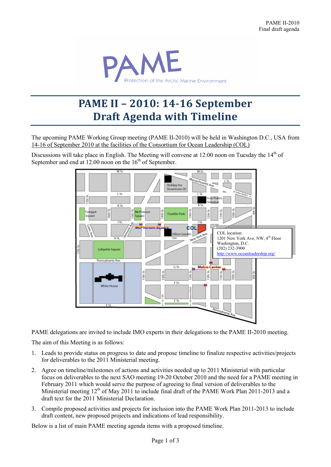

## **PAME II – 2010: 14-16 September Draft Agenda with Timeline**

The upcoming PAME Working Group meeting (PAME II-2010) will be held in Washington D.C., USA from 14-16 of September 2010 at the facilities of the Consortium for Ocean Leadership (COL)

Discussions will take place in English. The Meeting will convene at 12:00 noon on Tuesday the 14<sup>th</sup> of September and end at  $12.00$  noon on the  $16<sup>th</sup>$  of September.



PAME delegations are invited to include IMO experts in their delegations to the PAME II-2010 meeting.

The aim of this Meeting is as follows:

- 1. Leads to provide status on progress to date and propose timeline to finalize respective activities/projects for deliverables to the 2011 Ministerial meeting.
- 2. Agree on timeline/milestones of actions and activities needed up to 2011 Ministerial with particular focus on deliverables to the next SAO meeting 19-20 October 2010 and the need for a PAME meeting in February 2011 which would serve the purpose of agreeing to final version of deliverables to the Ministerial meeting  $12<sup>th</sup>$  of May 2011 to include final draft of the PAME Work Plan 2011-2013 and a draft text for the 2011 Ministerial Declaration.
- 3. Compile proposed activities and projects for inclusion into the PAME Work Plan 2011-2013 to include draft content, new proposed projects and indications of lead responsibility.

Below is a list of main PAME meeting agenda items with a proposed timeline.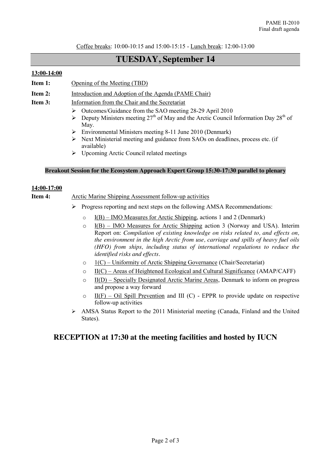Coffee breaks: 10:00-10:15 and 15:00-15:15 - Lunch break: 12:00-13:00

## **TUESDAY, September 14**

#### **13:00-14:00**

- **Item 1:** Opening of the Meeting (TBD)
- **Item 2:** Introduction and Adoption of the Agenda (PAME Chair)
- **Item 3:** Information from the Chair and the Secretariat
	- ¾ Outcomes/Guidance from the SAO meeting 28-29 April 2010
	- $\triangleright$  Deputy Ministers meeting 27<sup>th</sup> of May and the Arctic Council Information Day 28<sup>th</sup> of May.
	- $\triangleright$  Environmental Ministers meeting 8-11 June 2010 (Denmark)
	- ¾ Next Ministerial meeting and guidance from SAOs on deadlines, process etc. (if available)
	- $\triangleright$  Upcoming Arctic Council related meetings

#### **Breakout Session for the Ecosystem Approach Expert Group 15:30-17:30 parallel to plenary**

#### **14:00-17:00**

#### **Item 4:** Arctic Marine Shipping Assessment follow-up activities

- $\triangleright$  Progress reporting and next steps on the following AMSA Recommendations:
	- $\circ$  I(B) IMO Measures for Arctic Shipping, actions 1 and 2 (Denmark)
	- $\circ$  I(B) IMO Measures for Arctic Shipping action 3 (Norway and USA). Interim Report on: *Compilation of existing knowledge on risks related to, and effects on, the environment in the high Arctic from use, carriage and spills of heavy fuel oils (HFO) from ships, including status of international regulations to reduce the identified risks and effects.*
	- $\circ$  1(C) Uniformity of Arctic Shipping Governance (Chair/Secretariat)
	- $\circ$  II(C) Areas of Heightened Ecological and Cultural Significance (AMAP/CAFF)
	- $\circ$  II(D) Specially Designated Arctic Marine Areas, Denmark to inform on progress and propose a way forward
	- $\circ$  II(F) Oil Spill Prevention and III (C) EPPR to provide update on respective follow-up activities
- $\triangleright$  AMSA Status Report to the 2011 Ministerial meeting (Canada, Finland and the United States).

#### **RECEPTION at 17:30 at the meeting facilities and hosted by IUCN**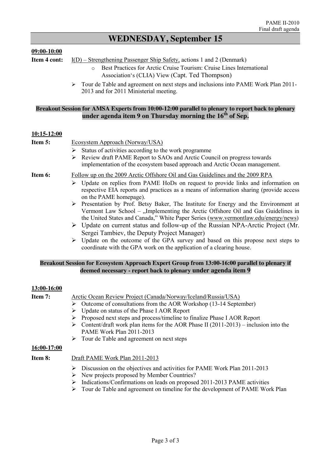## **WEDNESDAY, September 15**

#### **09:00-10:00**

**Item 4 cont:** I(D) – Strengthening Passenger Ship Safety, actions 1 and 2 (Denmark)

- o Best Practices for Arctic Cruise Tourism: Cruise Lines International Association's (CLIA) View (Capt. Ted Thompson)
- ¾ Tour de Table and agreement on next steps and inclusions into PAME Work Plan 2011- 2013 and for 2011 Ministerial meeting.

#### **Breakout Session for AMSA Experts from 10:00-12:00 parallel to plenary to report back to plenary under agenda item 9 on Thursday morning the 16th of Sep.**

#### **10:15-12:00**

| Item 5: | Ecosystem Approach (Norway/USA)                                                                                                                                                                                                                                               |
|---------|-------------------------------------------------------------------------------------------------------------------------------------------------------------------------------------------------------------------------------------------------------------------------------|
|         | $\triangleright$ Status of activities according to the work programme                                                                                                                                                                                                         |
|         | $\triangleright$ Review draft PAME Report to SAOs and Arctic Council on progress towards<br>implementation of the ecosystem based approach and Arctic Ocean management.                                                                                                       |
| Item 6: | Follow up on the 2009 Arctic Offshore Oil and Gas Guidelines and the 2009 RPA                                                                                                                                                                                                 |
|         | Update on replies from PAME HoDs on request to provide links and information on<br>➤<br>respective EIA reports and practices as a means of information sharing (provide access<br>on the PAME homepage).                                                                      |
|         | $\triangleright$ Presentation by Prof. Betsy Baker, The Institute for Energy and the Environment at<br>Vermont Law School – "Implementing the Arctic Offshore Oil and Gas Guidelines in<br>the United States and Canada," White Paper Series (www.vermontlaw.edu/energy/news) |
|         | $\triangleright$ Update on current status and follow-up of the Russian NPA-Arctic Project (Mr.                                                                                                                                                                                |
|         | Sergei Tambiev, the Deputy Project Manager)                                                                                                                                                                                                                                   |
|         | $\triangleright$ I Indate on the outcome of the GPA survey and based on this propose next steps to                                                                                                                                                                            |

Update on the outcome of the GPA survey and based on this propose next steps to coordinate with the GPA work on the application of a clearing house.

#### **Breakout Session for Ecosystem Approach Expert Group from 13:00-16:00 parallel to plenary if deemed necessary - report back to plenary under agenda item 9**

#### **13:00-16:00**

| Item 7:        | Arctic Ocean Review Project (Canada/Norway/Iceland/Russia/USA)                                                                                                                                                                                                                                                                 |
|----------------|--------------------------------------------------------------------------------------------------------------------------------------------------------------------------------------------------------------------------------------------------------------------------------------------------------------------------------|
|                | Outcome of consultations from the AOR Workshop (13-14 September)<br>➤                                                                                                                                                                                                                                                          |
|                | Update on status of the Phase I AOR Report                                                                                                                                                                                                                                                                                     |
|                | Proposed next steps and process/timeline to finalize Phase I AOR Report<br>➤                                                                                                                                                                                                                                                   |
|                | Content/draft work plan items for the AOR Phase II $(2011-2013)$ – inclusion into the<br>➤<br><b>PAME Work Plan 2011-2013</b>                                                                                                                                                                                                  |
|                | $\triangleright$ Tour de Table and agreement on next steps                                                                                                                                                                                                                                                                     |
| 16:00-17:00    |                                                                                                                                                                                                                                                                                                                                |
| <b>Item 8:</b> | Draft PAME Work Plan 2011-2013                                                                                                                                                                                                                                                                                                 |
|                | Discussion on the objectives and activities for PAME Work Plan 2011-2013<br>➤<br>New projects proposed by Member Countries?<br>➤<br>Indications/Confirmations on leads on proposed 2011-2013 PAME activities<br>➤<br>$\mathbb{R}$ . Towe do Toble and corresponent on timeling for the development of $\mathbf{DAN}$ Work Plan |

¾ Tour de Table and agreement on timeline for the development of PAME Work Plan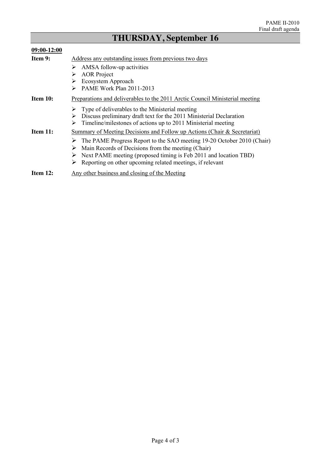### **THURSDAY, September 16**

#### **09:00-12:00 Item 9:** Address any outstanding issues from previous two days  $\triangleright$  AMSA follow-up activities > AOR Project ¾ Ecosystem Approach ¾ PAME Work Plan 2011-2013 **Item 10:** Preparations and deliverables to the 2011 Arctic Council Ministerial meeting  $\geq$  Type of deliverables to the Ministerial meeting<br> $\geq$  Discuss preliminary draft text for the 2011 Min Discuss preliminary draft text for the 2011 Ministerial Declaration  $\triangleright$  Timeline/milestones of actions up to 2011 Ministerial meeting **Item 11:** Summary of Meeting Decisions and Follow up Actions (Chair & Secretariat) ¾ The PAME Progress Report to the SAO meeting 19-20 October 2010 (Chair)  $\triangleright$  Main Records of Decisions from the meeting (Chair)  $\triangleright$  Next PAME meeting (proposed timing is Feb 2011 and location TBD)  $\triangleright$  Reporting on other upcoming related meetings, if relevant **Item 12:** Any other business and closing of the Meeting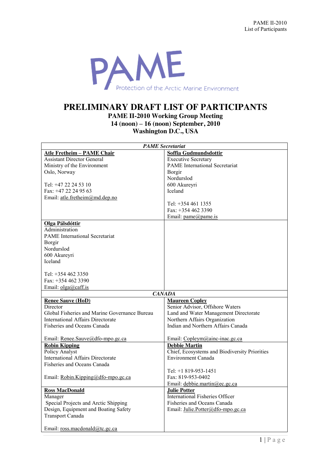

## **PRELIMINARY DRAFT LIST OF PARTICIPANTS**

**PAME II-2010 Working Group Meeting 14 (noon) – 16 (noon) September, 2010 Washington D.C., USA**

| <b>PAME</b> Secretariat                       |                                               |  |  |
|-----------------------------------------------|-----------------------------------------------|--|--|
| <b>Atle Fretheim - PAME Chair</b>             | Soffia Gudmundsdottir                         |  |  |
| <b>Assistant Director General</b>             | <b>Executive Secretary</b>                    |  |  |
| Ministry of the Environment                   | <b>PAME</b> International Secretariat         |  |  |
| Oslo, Norway                                  | Borgir                                        |  |  |
|                                               | Nordurslod                                    |  |  |
| Tel: +47 22 24 53 10                          | 600 Akureyri                                  |  |  |
| Fax: +47 22 24 95 63                          | Iceland                                       |  |  |
| Email: atle.fretheim@md.dep.no                |                                               |  |  |
|                                               | Tel: $+3544611355$                            |  |  |
|                                               | Fax: +354 462 3390                            |  |  |
|                                               | Email: pame@pame.is                           |  |  |
| Olga Pálsdóttir                               |                                               |  |  |
| Administration                                |                                               |  |  |
| <b>PAME</b> International Secretariat         |                                               |  |  |
| Borgir                                        |                                               |  |  |
| Nordurslod                                    |                                               |  |  |
| 600 Akureyri                                  |                                               |  |  |
| Iceland                                       |                                               |  |  |
|                                               |                                               |  |  |
| Tel: $+3544623350$                            |                                               |  |  |
| Fax: $+3544623390$                            |                                               |  |  |
| Email: olga@caff.is                           |                                               |  |  |
|                                               | <b>CANADA</b>                                 |  |  |
| <b>Renee Sauve (HoD)</b>                      | <b>Maureen Copley</b>                         |  |  |
| Director                                      | Senior Advisor, Offshore Waters               |  |  |
| Global Fisheries and Marine Governance Bureau | Land and Water Management Directorate         |  |  |
| <b>International Affairs Directorate</b>      | Northern Affairs Organization                 |  |  |
| Fisheries and Oceans Canada                   | Indian and Northern Affairs Canada            |  |  |
|                                               |                                               |  |  |
| Email: Renee.Sauve@dfo-mpo.gc.ca              | Email: Copleym@ainc-inac.gc.ca                |  |  |
| <b>Robin Kipping</b>                          | <b>Debbie Martin</b>                          |  |  |
| Policy Analyst                                | Chief, Ecosystems and Biodiversity Priorities |  |  |
| <b>International Affairs Directorate</b>      | Environment Canada                            |  |  |
| Fisheries and Oceans Canada                   |                                               |  |  |
|                                               | Tel: $+1819-953-1451$                         |  |  |
| Email: Robin.Kipping@dfo-mpo.gc.ca            | Fax: 819-953-0402                             |  |  |
|                                               | Email: debbie.martin@ec.gc.ca                 |  |  |
| <b>Ross MacDonald</b>                         | <b>Julie Potter</b>                           |  |  |
| Manager                                       | <b>International Fisheries Officer</b>        |  |  |
| Special Projects and Arctic Shipping          | Fisheries and Oceans Canada                   |  |  |
| Design, Equipment and Boating Safety          | Email: Julie.Potter@dfo-mpo.gc.ca             |  |  |
| Transport Canada                              |                                               |  |  |
|                                               |                                               |  |  |
| Email: ross.macdonald@tc.gc.ca                |                                               |  |  |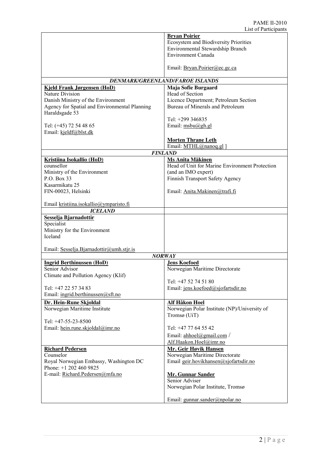|                                               | <b>Bryan Poirier</b>                                                               |
|-----------------------------------------------|------------------------------------------------------------------------------------|
|                                               | <b>Ecosystem and Biodiversity Priorities</b>                                       |
|                                               | Environmental Stewardship Branch                                                   |
|                                               | <b>Environment Canada</b>                                                          |
|                                               |                                                                                    |
|                                               | Email: Bryan.Poirier@ec.gc.ca                                                      |
|                                               |                                                                                    |
|                                               | DENMARK/GREENLAND/FAROE ISLANDS                                                    |
| <b>Kjeld Frank Jørgensen (HoD)</b>            | Maja Sofie Burgaard                                                                |
| Nature Division                               | Head of Section                                                                    |
| Danish Ministry of the Environment            | Licence Department; Petroleum Section                                              |
| Agency for Spatial and Environmental Planning | Bureau of Minerals and Petroleum                                                   |
| Haraldsgade 53                                |                                                                                    |
|                                               | Tel: +299 346835                                                                   |
| Tel: (+45) 72 54 48 65                        | Email: $msbu(@gh.gl)$                                                              |
| Email: kjeldf@blst.dk                         |                                                                                    |
|                                               | <b>Morten Thrane Leth</b>                                                          |
|                                               | Email: MTHL@nanoq.gl ]                                                             |
|                                               | <b>FINLAND</b>                                                                     |
| <b>Kristiina Isokallio (HoD)</b>              | <b>Ms Anita Mäkinen</b>                                                            |
| counsellor                                    | Head of Unit for Marine Environment Protection                                     |
| Ministry of the Environment                   | (and an IMO expert)                                                                |
| P.O. Box 33                                   | Finnish Transport Safety Agency                                                    |
| Kasarmikatu 25                                |                                                                                    |
| FIN-00023, Helsinki                           | Email: Anita.Makinen@trafi.fi                                                      |
|                                               |                                                                                    |
| Email kristiina.isokallio@ymparisto.fi        |                                                                                    |
| <b>ICELAND</b>                                |                                                                                    |
| Sesselja Bjarnadottir                         |                                                                                    |
| Specialist                                    |                                                                                    |
| Ministry for the Environment                  |                                                                                    |
| Iceland                                       |                                                                                    |
|                                               |                                                                                    |
| Email: Sesselja.Bjarnadottir@umh.stjr.is      |                                                                                    |
|                                               | <b>NORWAY</b>                                                                      |
| <b>Ingrid Berthinussen (HoD)</b>              | <b>Jens Koefoed</b>                                                                |
| Senior Advisor                                | Norwegian Maritime Directorate                                                     |
| Climate and Pollution Agency (Klif)           |                                                                                    |
|                                               | Tel: +47 52 74 51 80                                                               |
| Tel: +47 22 57 34 83                          | Email: jens.koefoed@sjofartsdir.no                                                 |
| Email: ingrid.berthinussen@sft.no             |                                                                                    |
| Dr. Hein-Rune Skjoldal                        | Alf Håkon Hoel                                                                     |
| Norwegian Maritime Institute                  | Norwegian Polar Institute (NP)/University of                                       |
|                                               | Tromsø (UiT)                                                                       |
| Tel: +47-55-23-8500                           |                                                                                    |
| Email: hein.rune.skjoldal@imr.no              | Tel: +47 77 64 55 42                                                               |
|                                               | Email: $\underline{ahhoel}(\partial \text{gmail.com} / \partial \text{gmail.com})$ |
|                                               | Alf.Haakon.Hoel@imr.no                                                             |
| <b>Richard Pedersen</b>                       | <b>Mr. Geir Høvik Hansen</b>                                                       |
| Counselor                                     | Norwegian Maritime Directorate                                                     |
| Royal Norwegian Embassy, Washington DC        | Email geir.hovikhansen@sjofartsdir.no                                              |
| Phone: +1 202 460 9825                        |                                                                                    |
| E-mail: Richard.Pedersen@mfa.no               | <b>Mr. Gunnar Sander</b>                                                           |
|                                               | Senior Adviser                                                                     |
|                                               | Norwegian Polar Institute, Tromsø                                                  |
|                                               |                                                                                    |
|                                               | Email: gunnar.sander@npolar.no                                                     |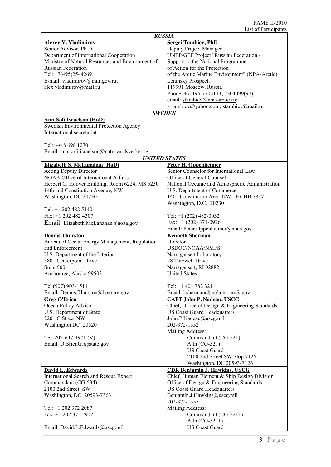| <b>RUSSIA</b>                                    |                                                 |  |
|--------------------------------------------------|-------------------------------------------------|--|
| <b>Alexey V. Vladimirov</b>                      | <b>Sergei Tambiev, PhD</b>                      |  |
| Senior Advisor, Ph.D.                            | Deputy Project Manager                          |  |
| Department of International Cooperation          | UNEP/GEF Project "Russian Federation -          |  |
| Ministry of Natural Resources and Environment of | Support to the National Programme               |  |
|                                                  |                                                 |  |
| <b>Russian Federation</b>                        | of Action for the Protection                    |  |
| Tel: +7(495)2544269                              | of the Arctic Marine Environment" (NPA-Arctic)  |  |
| E-mail: vladimirov@mnr.gov.ru;                   | Leninsky Prospect,                              |  |
| alex.vladimirov@mail.ru                          | 119991 Moscow, Russia                           |  |
|                                                  | Phone: +7-495-7703114; 7304099(97)              |  |
|                                                  | email: stambiev@npa-arctic.ru;                  |  |
|                                                  | s tambiev@yahoo.com; stambiev@mail.ru           |  |
|                                                  | <b>SWEDEN</b>                                   |  |
| <b>Ann-Sofi Israelson (HoD)</b>                  |                                                 |  |
| Swedish Environmental Protection Agency          |                                                 |  |
| International secretariat                        |                                                 |  |
|                                                  |                                                 |  |
|                                                  |                                                 |  |
| Tel: +46 8 698 1270                              |                                                 |  |
| Email: ann-sofi.israelson@naturvardsverket.se    |                                                 |  |
|                                                  | <b>UNITED STATES</b>                            |  |
| Elizabeth S. McLanahan (HoD)                     | <b>Peter H. Oppenheimer</b>                     |  |
| <b>Acting Deputy Director</b>                    | Senior Counselor for International Law          |  |
| <b>NOAA Office of International Affairs</b>      | Office of General Counsel                       |  |
| Herbert C. Hoover Building, Room 6224, MS 5230   | National Oceanic and Atmospheric Administration |  |
| 14th and Constitution Avenue, NW                 | U.S. Department of Commerce                     |  |
| Washington, DC 20230                             | 1401 Constitution Ave., NW - HCHB 7837          |  |
|                                                  |                                                 |  |
|                                                  | Washington, D.C. 20230                          |  |
| Tel: +1 202 482 5140                             |                                                 |  |
| Fax: $+1$ 202 482 4307                           | Tel: $+1$ (202) 482-0032                        |  |
| Email: Elizabeth.McLanahan@noaa.gov              | Fax: $+1$ (202) 371-0926                        |  |
|                                                  | Email: Peter.Oppenheimer@noaa.gov               |  |
| <b>Dennis Thurston</b>                           | <b>Kenneth Sherman</b>                          |  |
| Bureau of Ocean Energy Management, Regulation    | Director                                        |  |
| and Enforcement                                  | <b>USDOC/NOAA/NMFS</b>                          |  |
| U.S. Department of the Interior                  | Narragansett Laboratory                         |  |
| 3801 Centerpoint Drive                           | 28 Tarzwell Drive                               |  |
| Suite 500                                        |                                                 |  |
|                                                  | Narragansett, RI 02882                          |  |
| Anchorage, Alaska 99503                          | <b>United States</b>                            |  |
| Tel (907) 903-1511                               | Tel: +1 401 782 3211                            |  |
|                                                  |                                                 |  |
| Email: Dennis.Thurston@boemre.gov                | Email: ksherman@mola.na.nmfs.gov                |  |
| <b>Greg O'Brien</b>                              | <b>CAPT John P. Nadeau, USCG</b>                |  |
| Ocean Policy Advisor                             | Chief, Office of Design & Engineering Standards |  |
| U.S. Department of State                         | <b>US Coast Guard Headquarters</b>              |  |
| 2201 C Street NW                                 | John.P.Nadeau@uscg.mil                          |  |
| Washington DC 20520                              | 202-372-1352                                    |  |
|                                                  | Mailing Address:                                |  |
| Tel: 202-647-4971 (V)                            | Commandant (CG-521)                             |  |
| Email: O'BrienGJ@state.gov                       | Attn (CG-521)                                   |  |
|                                                  | <b>US Coast Guard</b>                           |  |
|                                                  | 2100 2nd Street SW Stop 7126                    |  |
|                                                  | Washington, DC 20593-7126                       |  |
|                                                  |                                                 |  |
| David L. Edwards                                 | <b>CDR</b> Benjamin J. Hawkins, USCG            |  |
| International Search and Rescue Expert           | Chief, Human Element & Ship Design Division     |  |
| Commandant (CG-534)                              | Office of Design & Engineering Standards        |  |
| 2100 2nd Street, SW                              | <b>US Coast Guard Headquarters</b>              |  |
| Washington, DC 20593-7363                        | Benjamin.J.Hawkins@uscg.mil                     |  |
|                                                  | 202-372-1355                                    |  |
| Tel: +1 202 372 2087                             | Mailing Address:                                |  |
| Fax: +1 202 372 2912                             | Commandant (CG-5211)                            |  |
|                                                  | Attn (CG-5211)                                  |  |
| Email: David.L.Edwards@uscg.mil                  | <b>US Coast Guard</b>                           |  |
|                                                  |                                                 |  |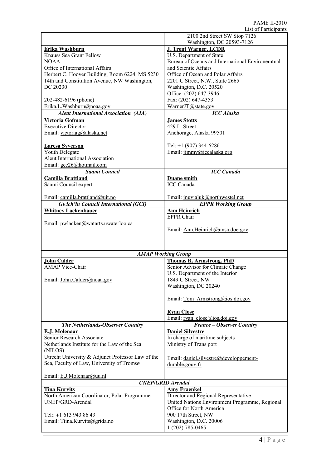|                                                                    | LOU OI I GIUUIPANO<br>2100 2nd Street SW Stop 7126          |  |  |  |
|--------------------------------------------------------------------|-------------------------------------------------------------|--|--|--|
|                                                                    | Washington, DC 20593-7126                                   |  |  |  |
| Erika Washburn                                                     | <b>J. Trent Warner, LCDR</b>                                |  |  |  |
| Knauss Sea Grant Fellow                                            | U.S. Department of State                                    |  |  |  |
| NOAA.                                                              | Bureau of Oceans and International Environemtnal            |  |  |  |
| Office of International Affairs                                    | and Scientic Affairs                                        |  |  |  |
| Herbert C. Hoover Building, Room 6224, MS 5230                     | Office of Ocean and Polar Affairs                           |  |  |  |
| 14th and Constitution Avenue, NW Washington,                       | 2201 C Street, N.W., Suite 2665                             |  |  |  |
| DC 20230                                                           | Washington, D.C. 20520                                      |  |  |  |
| 202-482-6196 (phone)                                               | Office: (202) 647-3946<br>Fax: (202) 647-4353               |  |  |  |
| Erika.L.Washburn@noaa.gov                                          | WarnerJT@state.gov                                          |  |  |  |
| <b>Aleut International Association (AIA)</b>                       | <b>ICC</b> Alaska                                           |  |  |  |
| Victoria Gofman                                                    | <b>James Stotts</b>                                         |  |  |  |
| <b>Executive Director</b>                                          | 429 L. Street                                               |  |  |  |
| Email: victoriag@alaska.net                                        | Anchorage, Alaska 99501                                     |  |  |  |
|                                                                    |                                                             |  |  |  |
| <b>Laresa Syverson</b>                                             | Tel: $+1$ (907) 344-6286                                    |  |  |  |
| Youth Delegate                                                     | Email: jimmy@iccalaska.org                                  |  |  |  |
| Aleut International Association                                    |                                                             |  |  |  |
| Email: gee26@hotmail.com                                           |                                                             |  |  |  |
| Saami Council                                                      | <b>ICC</b> Canada                                           |  |  |  |
| <b>Camilla Brattland</b>                                           | <b>Duane smith</b><br><b>ICC</b> Canada                     |  |  |  |
| Saami Council expert                                               |                                                             |  |  |  |
| Email: camilla.brattland@uit.no                                    | Email: inuvialuk@northwestel.net                            |  |  |  |
| <b>Gwich'in Council International (GCI)</b>                        | <b>EPPR Working Group</b>                                   |  |  |  |
| <b>Whitney Lackenbauer</b>                                         | <b>Ann Heinrich</b>                                         |  |  |  |
|                                                                    | <b>EPPR Chair</b>                                           |  |  |  |
| Email: pwlacken@watarts.uwaterloo.ca                               |                                                             |  |  |  |
|                                                                    | Email: Ann.Heinrich@nnsa.doe.gov                            |  |  |  |
|                                                                    |                                                             |  |  |  |
|                                                                    |                                                             |  |  |  |
|                                                                    | <b>AMAP Working Group</b>                                   |  |  |  |
| <b>John Calder</b>                                                 | <b>Thomas R. Armstrong, PhD</b>                             |  |  |  |
| <b>AMAP</b> Vice-Chair                                             | Senior Advisor for Climate Change                           |  |  |  |
|                                                                    | U.S. Department of the Interior                             |  |  |  |
| Email: John.Calder@noaa.gov                                        | 1849 C Street, NW                                           |  |  |  |
|                                                                    | Washington, DC 20240                                        |  |  |  |
|                                                                    |                                                             |  |  |  |
|                                                                    | Email: Tom Armstrong@ios.doi.gov                            |  |  |  |
|                                                                    | <b>Ryan Close</b>                                           |  |  |  |
|                                                                    | Email: ryan_close@ios.doi.gov                               |  |  |  |
| The Netherlands-Observer Country                                   | France - Observer Country                                   |  |  |  |
| E.J. Molenaar                                                      | <b>Daniel Silvestre</b>                                     |  |  |  |
| Senior Research Associate                                          | In charge of maritime subjects                              |  |  |  |
| Netherlands Institute for the Law of the Sea                       | Ministry of Trans port                                      |  |  |  |
| (NILOS)                                                            |                                                             |  |  |  |
| Utrecht University & Adjunct Professor Law of the                  | Email: daniel.silvestre@developpement-                      |  |  |  |
| Sea, Faculty of Law, University of Tromsø                          | durable.gouv.fr                                             |  |  |  |
|                                                                    |                                                             |  |  |  |
| Email: E.J.Molenaar@uu.nl                                          |                                                             |  |  |  |
| <b>UNEP/GRID Arendal</b>                                           |                                                             |  |  |  |
| <b>Tina Kurvits</b><br>North American Coordinator, Polar Programme | <b>Amy Fraenkel</b><br>Director and Regional Representative |  |  |  |
| UNEP/GRD-Arendal                                                   | United Nations Environment Programme, Regional              |  |  |  |
|                                                                    | Office for North America                                    |  |  |  |
| Tel:: $+1$ 613 943 86 43                                           | 900 17th Street, NW                                         |  |  |  |
| Email: Tiina.Kurvits@grida.no                                      | Washington, D.C. 20006                                      |  |  |  |
|                                                                    | 1 (202) 785-0465                                            |  |  |  |